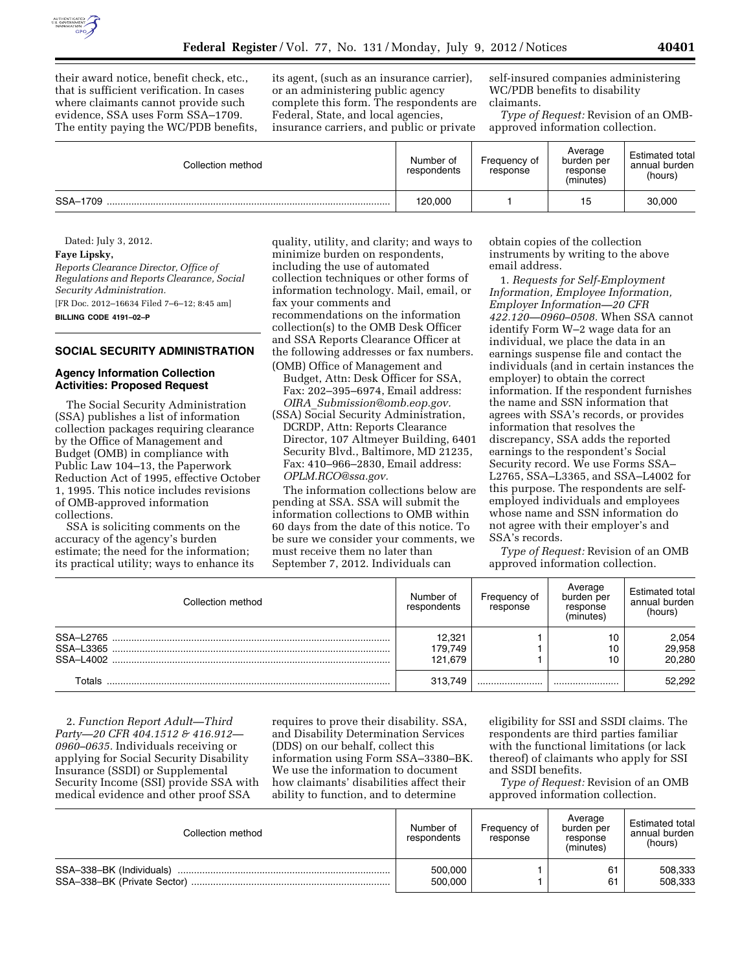

their award notice, benefit check, etc., that is sufficient verification. In cases where claimants cannot provide such evidence, SSA uses Form SSA–1709. The entity paying the WC/PDB benefits,

its agent, (such as an insurance carrier), or an administering public agency complete this form. The respondents are Federal, State, and local agencies, insurance carriers, and public or private

self-insured companies administering WC/PDB benefits to disability claimants.

*Type of Request:* Revision of an OMBapproved information collection.

| Collection method | Number of<br>respondents | Frequency of<br>response | Average<br>burden per<br>response<br>(minutes) | <b>Estimated total</b><br>annual burden<br>(hours) |
|-------------------|--------------------------|--------------------------|------------------------------------------------|----------------------------------------------------|
| SSA-1709          | 120.000                  |                          | 15                                             | 30,000                                             |

Dated: July 3, 2012. **Faye Lipsky,**  *Reports Clearance Director, Office of Regulations and Reports Clearance, Social Security Administration.*  [FR Doc. 2012–16634 Filed 7–6–12; 8:45 am] **BILLING CODE 4191–02–P** 

# **SOCIAL SECURITY ADMINISTRATION**

## **Agency Information Collection Activities: Proposed Request**

The Social Security Administration (SSA) publishes a list of information collection packages requiring clearance by the Office of Management and Budget (OMB) in compliance with Public Law 104–13, the Paperwork Reduction Act of 1995, effective October 1, 1995. This notice includes revisions of OMB-approved information collections.

SSA is soliciting comments on the accuracy of the agency's burden estimate; the need for the information; its practical utility; ways to enhance its

quality, utility, and clarity; and ways to minimize burden on respondents, including the use of automated collection techniques or other forms of information technology. Mail, email, or fax your comments and recommendations on the information collection(s) to the OMB Desk Officer and SSA Reports Clearance Officer at the following addresses or fax numbers. (OMB) Office of Management and

Budget, Attn: Desk Officer for SSA, Fax: 202–395–6974, Email address: *OIRA*\_*[Submission@omb.eop.gov.](mailto:OIRA_Submission@omb.eop.gov)* 

(SSA) Social Security Administration, DCRDP, Attn: Reports Clearance Director, 107 Altmeyer Building, 6401 Security Blvd., Baltimore, MD 21235, Fax: 410–966–2830, Email address: *[OPLM.RCO@ssa.gov.](mailto:OPLM.RCO@ssa.gov)* 

The information collections below are pending at SSA. SSA will submit the information collections to OMB within 60 days from the date of this notice. To be sure we consider your comments, we must receive them no later than September 7, 2012. Individuals can

obtain copies of the collection instruments by writing to the above email address.

1. *Requests for Self-Employment Information, Employee Information, Employer Information—20 CFR 422.120—0960–0508.* When SSA cannot identify Form W–2 wage data for an individual, we place the data in an earnings suspense file and contact the individuals (and in certain instances the employer) to obtain the correct information. If the respondent furnishes the name and SSN information that agrees with SSA's records, or provides information that resolves the discrepancy, SSA adds the reported earnings to the respondent's Social Security record. We use Forms SSA– L2765, SSA–L3365, and SSA–L4002 for this purpose. The respondents are selfemployed individuals and employees whose name and SSN information do not agree with their employer's and SSA's records.

*Type of Request:* Revision of an OMB approved information collection.

| Collection method      | Number of<br>respondents | Frequency of<br>response | Average<br>burden per<br>response<br>(minutes) | <b>Estimated total</b><br>annual burden<br>(hours) |
|------------------------|--------------------------|--------------------------|------------------------------------------------|----------------------------------------------------|
| SSA-L2765<br>SSA-L3365 | 12.321<br>179.749        |                          | 10<br>10                                       | 2,054<br>29,958                                    |
| SSA-14002              | 121.679                  |                          |                                                | 20.280                                             |
| Totals                 | 313.749                  |                          |                                                | 52.292                                             |

2. *Function Report Adult—Third Party—20 CFR 404.1512 & 416.912— 0960–0635.* Individuals receiving or applying for Social Security Disability Insurance (SSDI) or Supplemental Security Income (SSI) provide SSA with medical evidence and other proof SSA

requires to prove their disability. SSA, and Disability Determination Services (DDS) on our behalf, collect this information using Form SSA–3380–BK. We use the information to document how claimants' disabilities affect their ability to function, and to determine

eligibility for SSI and SSDI claims. The respondents are third parties familiar with the functional limitations (or lack thereof) of claimants who apply for SSI and SSDI benefits.

*Type of Request:* Revision of an OMB approved information collection.

| Collection method        | Number of<br>respondents | Frequency of<br>response | Average<br>burden per<br>response<br>(minutes) | Estimated total<br>annual burden<br>(hours) |
|--------------------------|--------------------------|--------------------------|------------------------------------------------|---------------------------------------------|
| SSA-338-BK (Individuals) | 500.000                  |                          | 61                                             | 508,333                                     |
|                          | 500.000                  |                          | 61                                             | 508,333                                     |